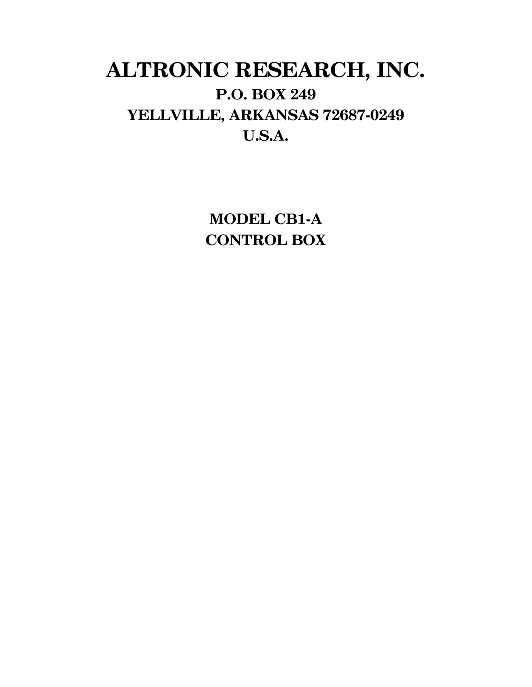# **ALTRONIC RESEARCH, INC. P.O. BOX 249 YELLVILLE, ARKANSAS 72687-0249 U.S.A.**

**MODEL CB1-A CONTROL BOX**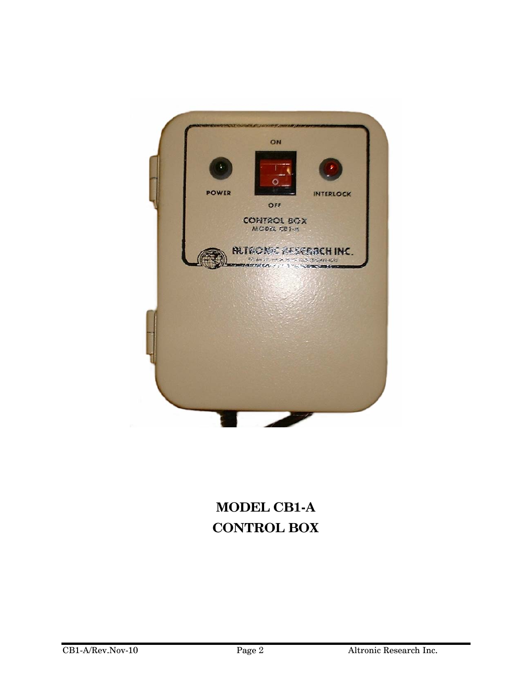

# **MODEL CB1-A CONTROL BOX**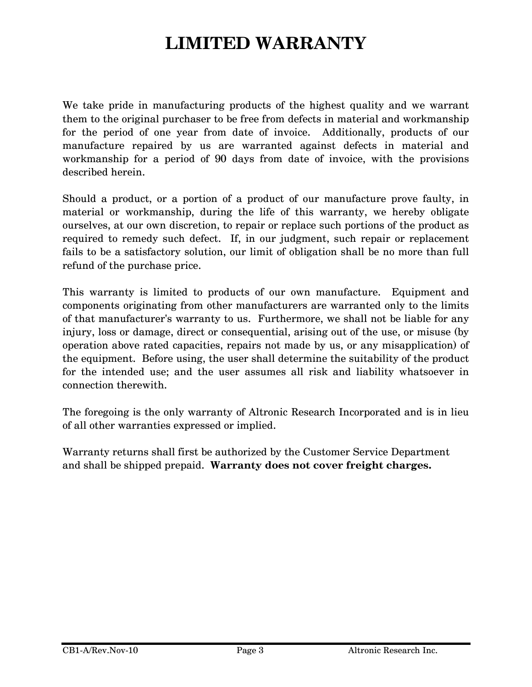# **LIMITED WARRANTY**

We take pride in manufacturing products of the highest quality and we warrant them to the original purchaser to be free from defects in material and workmanship for the period of one year from date of invoice. Additionally, products of our manufacture repaired by us are warranted against defects in material and workmanship for a period of 90 days from date of invoice, with the provisions described herein.

Should a product, or a portion of a product of our manufacture prove faulty, in material or workmanship, during the life of this warranty, we hereby obligate ourselves, at our own discretion, to repair or replace such portions of the product as required to remedy such defect. If, in our judgment, such repair or replacement fails to be a satisfactory solution, our limit of obligation shall be no more than full refund of the purchase price.

This warranty is limited to products of our own manufacture. Equipment and components originating from other manufacturers are warranted only to the limits of that manufacturer's warranty to us. Furthermore, we shall not be liable for any injury, loss or damage, direct or consequential, arising out of the use, or misuse (by operation above rated capacities, repairs not made by us, or any misapplication) of the equipment. Before using, the user shall determine the suitability of the product for the intended use; and the user assumes all risk and liability whatsoever in connection therewith.

The foregoing is the only warranty of Altronic Research Incorporated and is in lieu of all other warranties expressed or implied.

Warranty returns shall first be authorized by the Customer Service Department and shall be shipped prepaid. **Warranty does not cover freight charges.**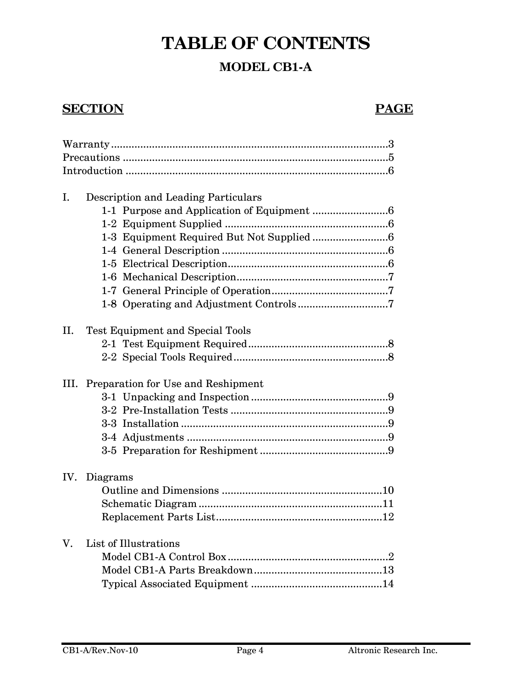# **TABLE OF CONTENTS**

#### **MODEL CB1-A**

#### **SECTION** PAGE

| I.   |                                         | Description and Leading Particulars |  |
|------|-----------------------------------------|-------------------------------------|--|
|      |                                         |                                     |  |
|      |                                         |                                     |  |
|      |                                         |                                     |  |
|      |                                         |                                     |  |
|      |                                         |                                     |  |
|      |                                         |                                     |  |
|      |                                         |                                     |  |
|      |                                         |                                     |  |
| II.  | <b>Test Equipment and Special Tools</b> |                                     |  |
|      |                                         |                                     |  |
|      |                                         |                                     |  |
| III. | Preparation for Use and Reshipment      |                                     |  |
|      |                                         |                                     |  |
|      |                                         |                                     |  |
|      |                                         |                                     |  |
|      |                                         |                                     |  |
|      |                                         |                                     |  |
| IV.  | Diagrams                                |                                     |  |
|      |                                         |                                     |  |
|      |                                         |                                     |  |
|      |                                         |                                     |  |
| V.   | List of Illustrations                   |                                     |  |
|      |                                         |                                     |  |
|      |                                         |                                     |  |
|      |                                         |                                     |  |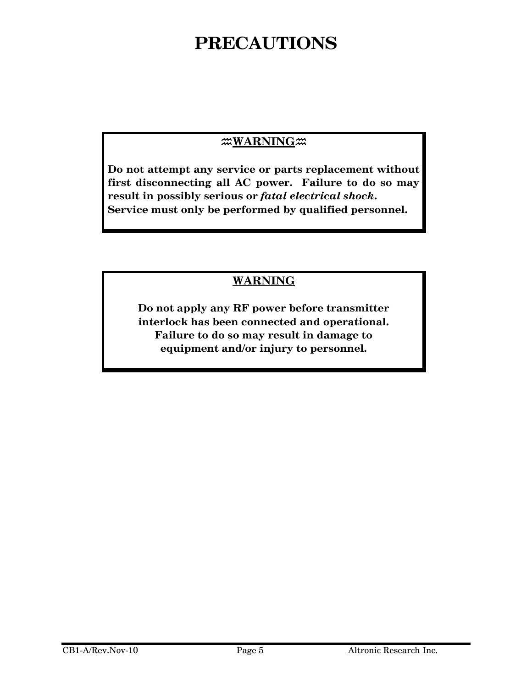# **PRECAUTIONS**

#### **WARNING**<sub>20</sub>

**Do not attempt any service or parts replacement without first disconnecting all AC power. Failure to do so may result in possibly serious or** *fatal electrical shock***. Service must only be performed by qualified personnel.** 

#### **WARNING**

**Do not apply any RF power before transmitter interlock has been connected and operational. Failure to do so may result in damage to equipment and/or injury to personnel.**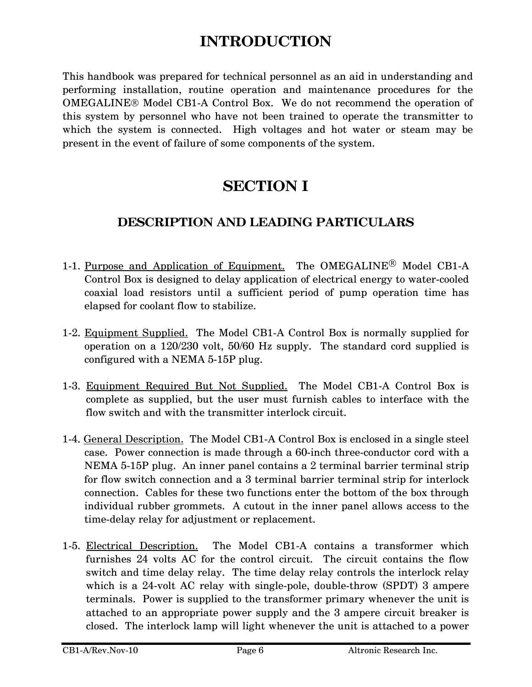# **INTRODUCTION**

This handbook was prepared for technical personnel as an aid in understanding and performing installation, routine operation and maintenance procedures for the OMEGALINE® Model CB1-A Control Box. We do not recommend the operation of this system by personnel who have not been trained to operate the transmitter to which the system is connected. High voltages and hot water or steam may be present in the event of failure of some components of the system.

# **SECTION I**

#### **DESCRIPTION AND LEADING PARTICULARS**

- 1-1. Purpose and Application of Equipment. The OMEGALINE® Model CB1-A Control Box is designed to delay application of electrical energy to water-cooled coaxial load resistors until a sufficient period of pump operation time has elapsed for coolant flow to stabilize.
- 1-2. Equipment Supplied. The Model CB1-A Control Box is normally supplied for operation on a 120/230 volt, 50/60 Hz supply. The standard cord supplied is configured with a NEMA 5-15P plug.
- 1-3. Equipment Required But Not Supplied. The Model CB1-A Control Box is complete as supplied, but the user must furnish cables to interface with the flow switch and with the transmitter interlock circuit.
- 1-4. General Description. The Model CB1-A Control Box is enclosed in a single steel case. Power connection is made through a 60-inch three-conductor cord with a NEMA 5-15P plug. An inner panel contains a 2 terminal barrier terminal strip for flow switch connection and a 3 terminal barrier terminal strip for interlock connection. Cables for these two functions enter the bottom of the box through individual rubber grommets. A cutout in the inner panel allows access to the time-delay relay for adjustment or replacement.
- 1-5. Electrical Description. The Model CB1-A contains a transformer which furnishes 24 volts AC for the control circuit. The circuit contains the flow switch and time delay relay. The time delay relay controls the interlock relay which is a 24-volt AC relay with single-pole, double-throw (SPDT) 3 ampere terminals. Power is supplied to the transformer primary whenever the unit is attached to an appropriate power supply and the 3 ampere circuit breaker is closed. The interlock lamp will light whenever the unit is attached to a power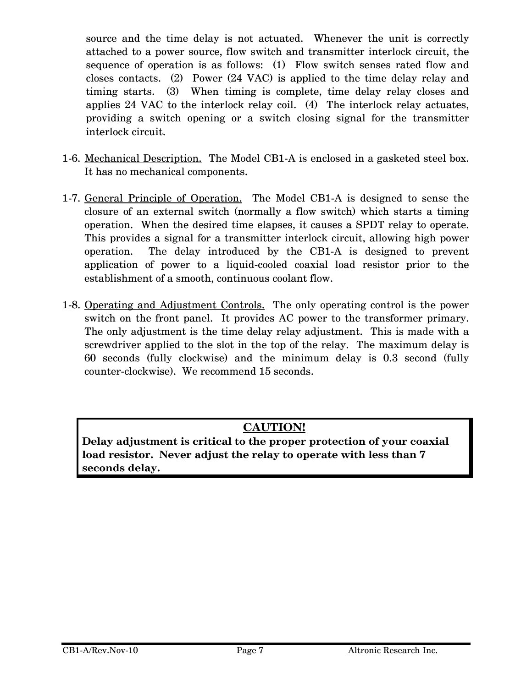source and the time delay is not actuated. Whenever the unit is correctly attached to a power source, flow switch and transmitter interlock circuit, the sequence of operation is as follows: (1) Flow switch senses rated flow and closes contacts. (2) Power (24 VAC) is applied to the time delay relay and timing starts. (3) When timing is complete, time delay relay closes and applies 24 VAC to the interlock relay coil. (4) The interlock relay actuates, providing a switch opening or a switch closing signal for the transmitter interlock circuit.

- 1-6. Mechanical Description. The Model CB1-A is enclosed in a gasketed steel box. It has no mechanical components.
- 1-7. General Principle of Operation. The Model CB1-A is designed to sense the closure of an external switch (normally a flow switch) which starts a timing operation. When the desired time elapses, it causes a SPDT relay to operate. This provides a signal for a transmitter interlock circuit, allowing high power operation. The delay introduced by the CB1-A is designed to prevent application of power to a liquid-cooled coaxial load resistor prior to the establishment of a smooth, continuous coolant flow.
- 1-8. Operating and Adjustment Controls. The only operating control is the power switch on the front panel. It provides AC power to the transformer primary. The only adjustment is the time delay relay adjustment. This is made with a screwdriver applied to the slot in the top of the relay. The maximum delay is 60 seconds (fully clockwise) and the minimum delay is 0.3 second (fully counter-clockwise). We recommend 15 seconds.

#### **CAUTION!**

**Delay adjustment is critical to the proper protection of your coaxial load resistor. Never adjust the relay to operate with less than 7 seconds delay.**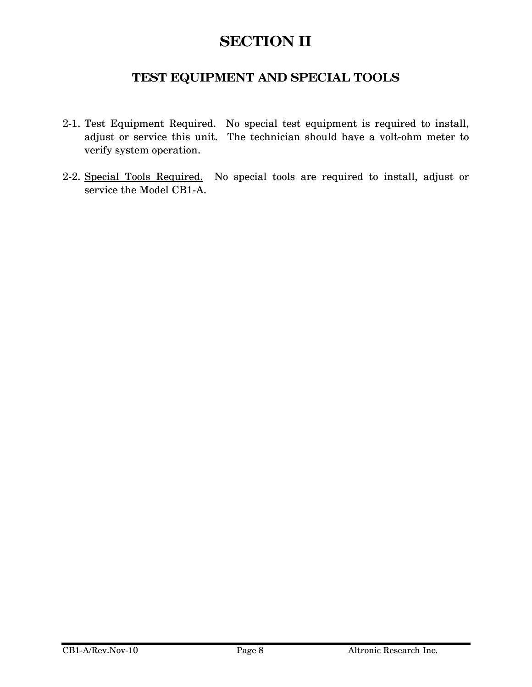## **SECTION II**

#### **TEST EQUIPMENT AND SPECIAL TOOLS**

- 2-1. Test Equipment Required. No special test equipment is required to install, adjust or service this unit. The technician should have a volt-ohm meter to verify system operation.
- 2-2. Special Tools Required. No special tools are required to install, adjust or service the Model CB1-A.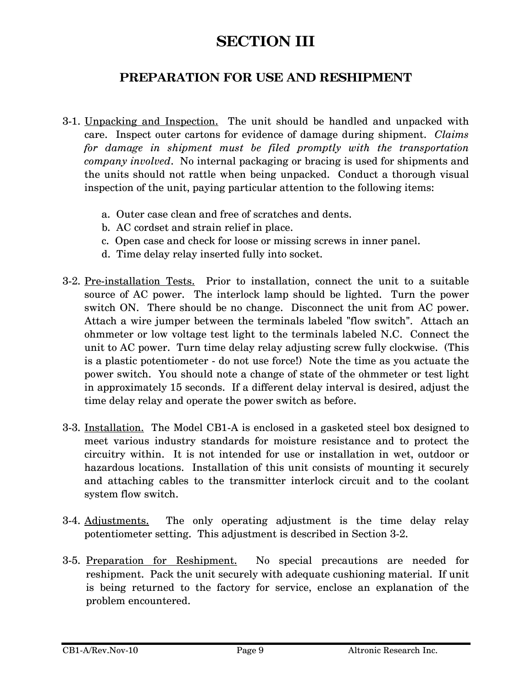## **SECTION III**

#### **PREPARATION FOR USE AND RESHIPMENT**

- 3-1. Unpacking and Inspection. The unit should be handled and unpacked with care. Inspect outer cartons for evidence of damage during shipment. *Claims for damage in shipment must be filed promptly with the transportation company involved*. No internal packaging or bracing is used for shipments and the units should not rattle when being unpacked. Conduct a thorough visual inspection of the unit, paying particular attention to the following items:
	- a. Outer case clean and free of scratches and dents.
	- b. AC cordset and strain relief in place.
	- c. Open case and check for loose or missing screws in inner panel.
	- d. Time delay relay inserted fully into socket.
- 3-2. Pre-installation Tests. Prior to installation, connect the unit to a suitable source of AC power. The interlock lamp should be lighted. Turn the power switch ON. There should be no change. Disconnect the unit from AC power. Attach a wire jumper between the terminals labeled "flow switch". Attach an ohmmeter or low voltage test light to the terminals labeled N.C. Connect the unit to AC power. Turn time delay relay adjusting screw fully clockwise. (This is a plastic potentiometer - do not use force!) Note the time as you actuate the power switch. You should note a change of state of the ohmmeter or test light in approximately 15 seconds. If a different delay interval is desired, adjust the time delay relay and operate the power switch as before.
- 3-3. Installation. The Model CB1-A is enclosed in a gasketed steel box designed to meet various industry standards for moisture resistance and to protect the circuitry within. It is not intended for use or installation in wet, outdoor or hazardous locations. Installation of this unit consists of mounting it securely and attaching cables to the transmitter interlock circuit and to the coolant system flow switch.
- 3-4. Adjustments. The only operating adjustment is the time delay relay potentiometer setting. This adjustment is described in Section 3-2.
- 3-5. Preparation for Reshipment. No special precautions are needed for reshipment. Pack the unit securely with adequate cushioning material. If unit is being returned to the factory for service, enclose an explanation of the problem encountered.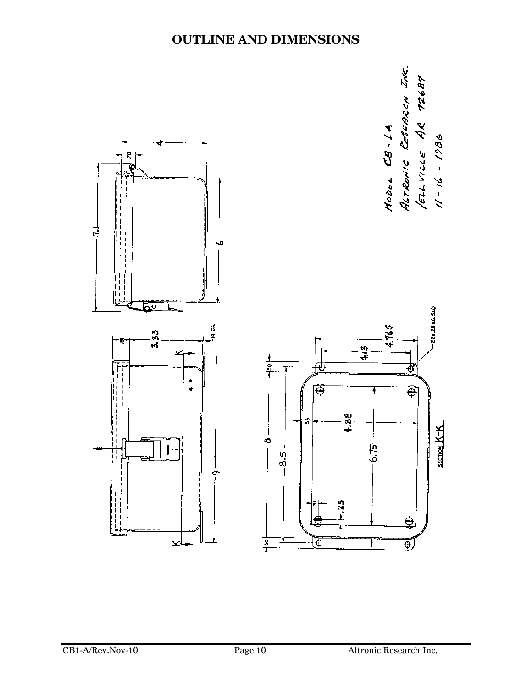

#### **OUTLINE AND DIMENSIONS**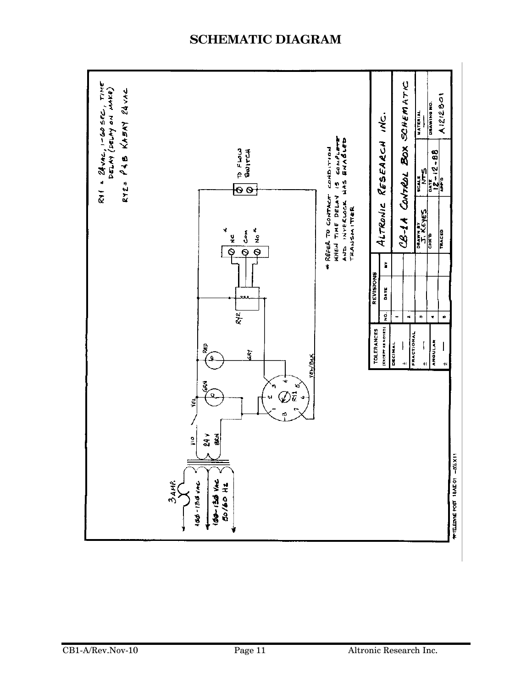#### **SCHEMATIC DIAGRAM**

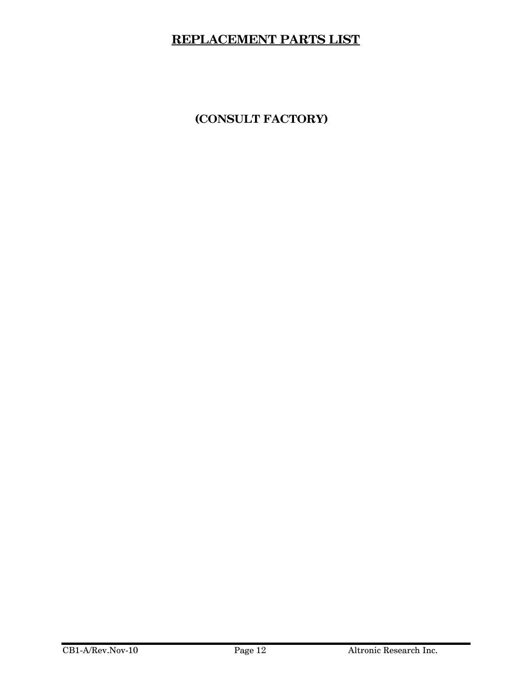#### **REPLACEMENT PARTS LIST**

**(CONSULT FACTORY)**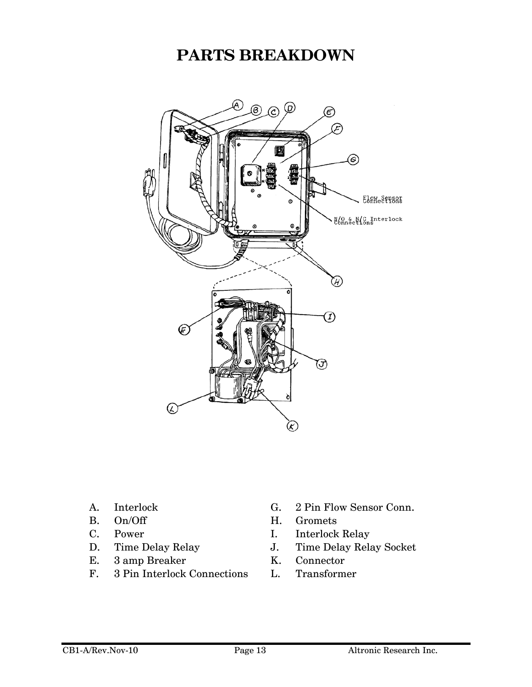## **PARTS BREAKDOWN**



- 
- 
- 
- 
- E. 3 amp Breaker K. Connector
- F. 3 Pin Interlock Connections L. Transformer
- A. Interlock G. 2 Pin Flow Sensor Conn.
- B. On/Off H. Gromets
- C. Power I. Interlock Relay
- D. Time Delay Relay J. Time Delay Relay Socket
	-
	-